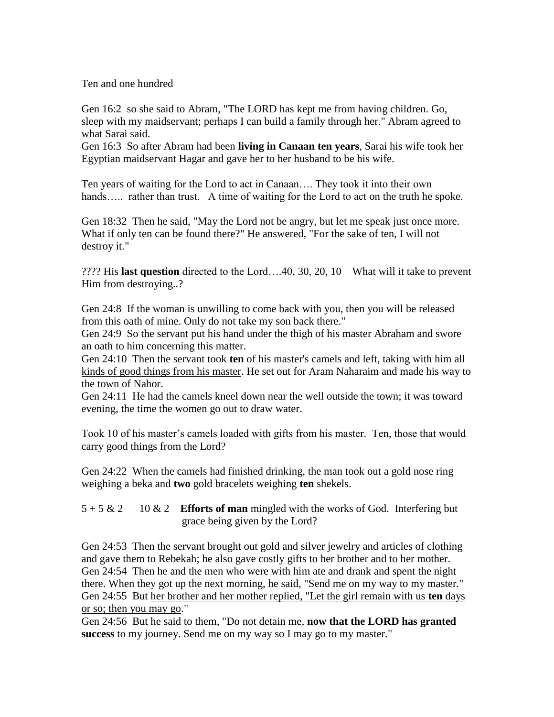Ten and one hundred

Gen 16:2 so she said to Abram, "The LORD has kept me from having children. Go, sleep with my maidservant; perhaps I can build a family through her." Abram agreed to what Sarai said.

Gen 16:3 So after Abram had been **living in Canaan ten years**, Sarai his wife took her Egyptian maidservant Hagar and gave her to her husband to be his wife.

Ten years of waiting for the Lord to act in Canaan…. They took it into their own hands….. rather than trust. A time of waiting for the Lord to act on the truth he spoke.

Gen 18:32 Then he said, "May the Lord not be angry, but let me speak just once more. What if only ten can be found there?" He answered, "For the sake of ten, I will not destroy it."

???? His **last question** directed to the Lord….40, 30, 20, 10 What will it take to prevent Him from destroying..?

Gen 24:8 If the woman is unwilling to come back with you, then you will be released from this oath of mine. Only do not take my son back there."

Gen 24:9 So the servant put his hand under the thigh of his master Abraham and swore an oath to him concerning this matter.

Gen 24:10 Then the servant took **ten** of his master's camels and left, taking with him all kinds of good things from his master. He set out for Aram Naharaim and made his way to the town of Nahor.

Gen 24:11 He had the camels kneel down near the well outside the town; it was toward evening, the time the women go out to draw water.

Took 10 of his master's camels loaded with gifts from his master. Ten, those that would carry good things from the Lord?

Gen 24:22 When the camels had finished drinking, the man took out a gold nose ring weighing a beka and **two** gold bracelets weighing **ten** shekels.

 $5 + 5 & 2 \quad 10 & 2$  **Efforts of man** mingled with the works of God. Interfering but grace being given by the Lord?

Gen 24:53 Then the servant brought out gold and silver jewelry and articles of clothing and gave them to Rebekah; he also gave costly gifts to her brother and to her mother. Gen 24:54 Then he and the men who were with him ate and drank and spent the night there. When they got up the next morning, he said, "Send me on my way to my master." Gen 24:55 But her brother and her mother replied, "Let the girl remain with us **ten** days or so; then you may go."

Gen 24:56 But he said to them, "Do not detain me, **now that the LORD has granted success** to my journey. Send me on my way so I may go to my master."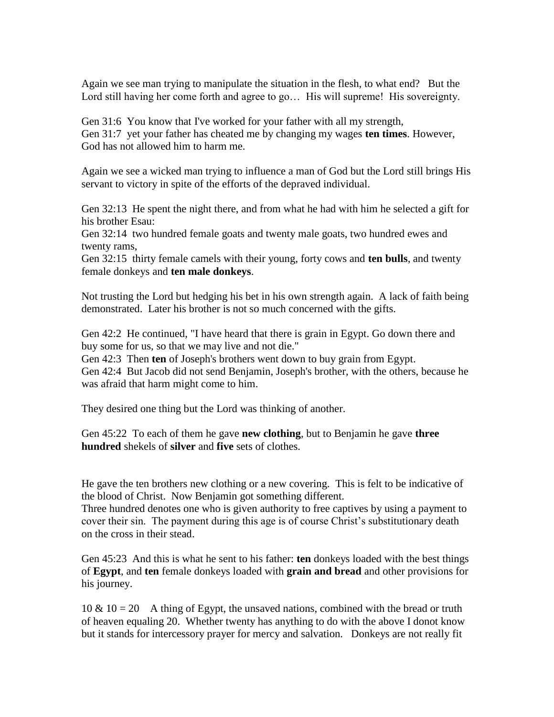Again we see man trying to manipulate the situation in the flesh, to what end? But the Lord still having her come forth and agree to go... His will supreme! His sovereignty.

Gen 31:6 You know that I've worked for your father with all my strength, Gen 31:7 yet your father has cheated me by changing my wages **ten times**. However, God has not allowed him to harm me.

Again we see a wicked man trying to influence a man of God but the Lord still brings His servant to victory in spite of the efforts of the depraved individual.

Gen 32:13 He spent the night there, and from what he had with him he selected a gift for his brother Esau:

Gen 32:14 two hundred female goats and twenty male goats, two hundred ewes and twenty rams,

Gen 32:15 thirty female camels with their young, forty cows and **ten bulls**, and twenty female donkeys and **ten male donkeys**.

Not trusting the Lord but hedging his bet in his own strength again. A lack of faith being demonstrated. Later his brother is not so much concerned with the gifts.

Gen 42:2 He continued, "I have heard that there is grain in Egypt. Go down there and buy some for us, so that we may live and not die."

Gen 42:3 Then **ten** of Joseph's brothers went down to buy grain from Egypt.

Gen 42:4 But Jacob did not send Benjamin, Joseph's brother, with the others, because he was afraid that harm might come to him.

They desired one thing but the Lord was thinking of another.

Gen 45:22 To each of them he gave **new clothing**, but to Benjamin he gave **three hundred** shekels of **silver** and **five** sets of clothes.

He gave the ten brothers new clothing or a new covering. This is felt to be indicative of the blood of Christ. Now Benjamin got something different.

Three hundred denotes one who is given authority to free captives by using a payment to cover their sin. The payment during this age is of course Christ's substitutionary death on the cross in their stead.

Gen 45:23 And this is what he sent to his father: **ten** donkeys loaded with the best things of **Egypt**, and **ten** female donkeys loaded with **grain and bread** and other provisions for his journey.

10 & 10 = 20 A thing of Egypt, the unsaved nations, combined with the bread or truth of heaven equaling 20. Whether twenty has anything to do with the above I donot know but it stands for intercessory prayer for mercy and salvation. Donkeys are not really fit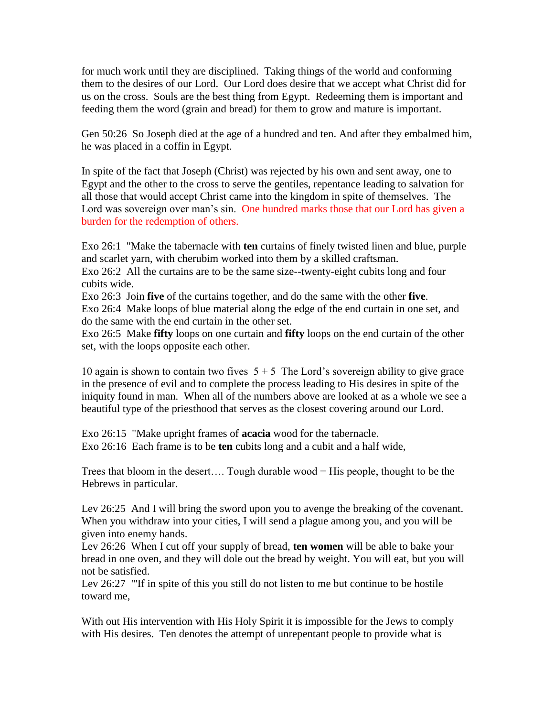for much work until they are disciplined. Taking things of the world and conforming them to the desires of our Lord. Our Lord does desire that we accept what Christ did for us on the cross. Souls are the best thing from Egypt. Redeeming them is important and feeding them the word (grain and bread) for them to grow and mature is important.

Gen 50:26 So Joseph died at the age of a hundred and ten. And after they embalmed him, he was placed in a coffin in Egypt.

In spite of the fact that Joseph (Christ) was rejected by his own and sent away, one to Egypt and the other to the cross to serve the gentiles, repentance leading to salvation for all those that would accept Christ came into the kingdom in spite of themselves. The Lord was sovereign over man's sin. One hundred marks those that our Lord has given a burden for the redemption of others.

Exo 26:1 "Make the tabernacle with **ten** curtains of finely twisted linen and blue, purple and scarlet yarn, with cherubim worked into them by a skilled craftsman.

Exo 26:2 All the curtains are to be the same size--twenty-eight cubits long and four cubits wide.

Exo 26:3 Join **five** of the curtains together, and do the same with the other **five**. Exo 26:4 Make loops of blue material along the edge of the end curtain in one set, and do the same with the end curtain in the other set.

Exo 26:5 Make **fifty** loops on one curtain and **fifty** loops on the end curtain of the other set, with the loops opposite each other.

10 again is shown to contain two fives  $5 + 5$  The Lord's sovereign ability to give grace in the presence of evil and to complete the process leading to His desires in spite of the iniquity found in man. When all of the numbers above are looked at as a whole we see a beautiful type of the priesthood that serves as the closest covering around our Lord.

Exo 26:15 "Make upright frames of **acacia** wood for the tabernacle. Exo 26:16 Each frame is to be **ten** cubits long and a cubit and a half wide,

Trees that bloom in the desert.... Tough durable wood = His people, thought to be the Hebrews in particular.

Lev 26:25 And I will bring the sword upon you to avenge the breaking of the covenant. When you withdraw into your cities, I will send a plague among you, and you will be given into enemy hands.

Lev 26:26 When I cut off your supply of bread, **ten women** will be able to bake your bread in one oven, and they will dole out the bread by weight. You will eat, but you will not be satisfied.

Lev 26:27 "'If in spite of this you still do not listen to me but continue to be hostile toward me,

With out His intervention with His Holy Spirit it is impossible for the Jews to comply with His desires. Ten denotes the attempt of unrepentant people to provide what is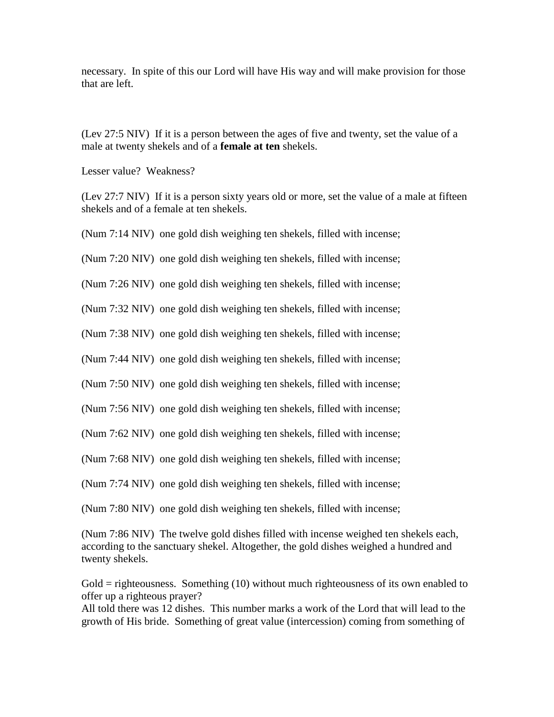necessary. In spite of this our Lord will have His way and will make provision for those that are left.

(Lev 27:5 NIV) If it is a person between the ages of five and twenty, set the value of a male at twenty shekels and of a **female at ten** shekels.

Lesser value? Weakness?

(Lev 27:7 NIV) If it is a person sixty years old or more, set the value of a male at fifteen shekels and of a female at ten shekels.

(Num 7:14 NIV) one gold dish weighing ten shekels, filled with incense;

(Num 7:20 NIV) one gold dish weighing ten shekels, filled with incense;

(Num 7:26 NIV) one gold dish weighing ten shekels, filled with incense;

(Num 7:32 NIV) one gold dish weighing ten shekels, filled with incense;

(Num 7:38 NIV) one gold dish weighing ten shekels, filled with incense;

(Num 7:44 NIV) one gold dish weighing ten shekels, filled with incense;

(Num 7:50 NIV) one gold dish weighing ten shekels, filled with incense;

(Num 7:56 NIV) one gold dish weighing ten shekels, filled with incense;

(Num 7:62 NIV) one gold dish weighing ten shekels, filled with incense;

(Num 7:68 NIV) one gold dish weighing ten shekels, filled with incense;

(Num 7:74 NIV) one gold dish weighing ten shekels, filled with incense;

(Num 7:80 NIV) one gold dish weighing ten shekels, filled with incense;

(Num 7:86 NIV) The twelve gold dishes filled with incense weighed ten shekels each, according to the sanctuary shekel. Altogether, the gold dishes weighed a hundred and twenty shekels.

 $Gold = righteousness.$  Something (10) without much righteousness of its own enabled to offer up a righteous prayer?

All told there was 12 dishes. This number marks a work of the Lord that will lead to the growth of His bride. Something of great value (intercession) coming from something of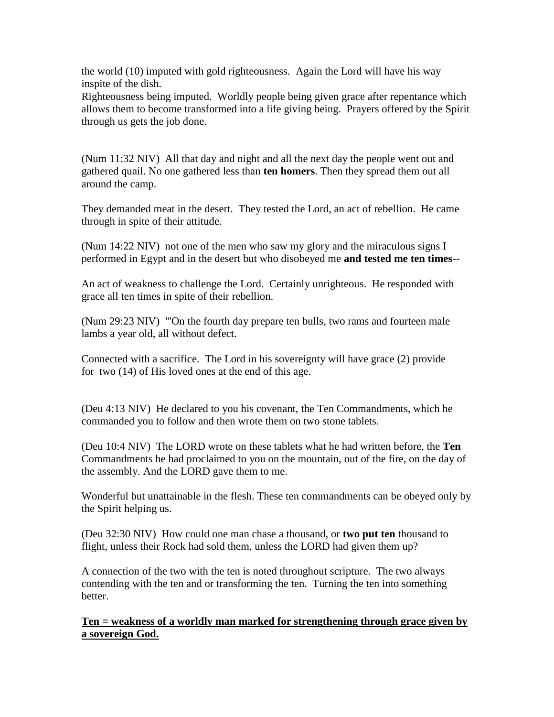the world (10) imputed with gold righteousness. Again the Lord will have his way inspite of the dish.

Righteousness being imputed. Worldly people being given grace after repentance which allows them to become transformed into a life giving being. Prayers offered by the Spirit through us gets the job done.

(Num 11:32 NIV) All that day and night and all the next day the people went out and gathered quail. No one gathered less than **ten homers**. Then they spread them out all around the camp.

They demanded meat in the desert. They tested the Lord, an act of rebellion. He came through in spite of their attitude.

(Num 14:22 NIV) not one of the men who saw my glory and the miraculous signs I performed in Egypt and in the desert but who disobeyed me **and tested me ten times**--

An act of weakness to challenge the Lord. Certainly unrighteous. He responded with grace all ten times in spite of their rebellion.

(Num 29:23 NIV) "'On the fourth day prepare ten bulls, two rams and fourteen male lambs a year old, all without defect.

Connected with a sacrifice. The Lord in his sovereignty will have grace (2) provide for two (14) of His loved ones at the end of this age.

(Deu 4:13 NIV) He declared to you his covenant, the Ten Commandments, which he commanded you to follow and then wrote them on two stone tablets.

(Deu 10:4 NIV) The LORD wrote on these tablets what he had written before, the **Ten**  Commandments he had proclaimed to you on the mountain, out of the fire, on the day of the assembly. And the LORD gave them to me.

Wonderful but unattainable in the flesh. These ten commandments can be obeyed only by the Spirit helping us.

(Deu 32:30 NIV) How could one man chase a thousand, or **two put ten** thousand to flight, unless their Rock had sold them, unless the LORD had given them up?

A connection of the two with the ten is noted throughout scripture. The two always contending with the ten and or transforming the ten. Turning the ten into something better.

**Ten = weakness of a worldly man marked for strengthening through grace given by a sovereign God.**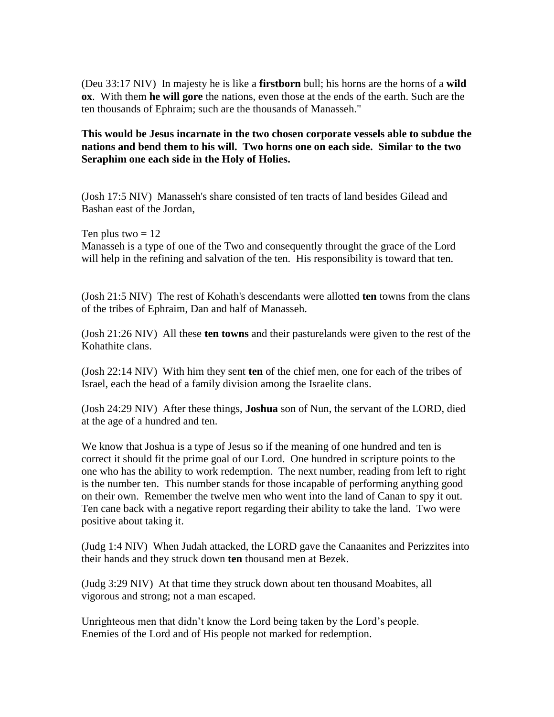(Deu 33:17 NIV) In majesty he is like a **firstborn** bull; his horns are the horns of a **wild ox**. With them **he will gore** the nations, even those at the ends of the earth. Such are the ten thousands of Ephraim; such are the thousands of Manasseh."

## **This would be Jesus incarnate in the two chosen corporate vessels able to subdue the nations and bend them to his will. Two horns one on each side. Similar to the two Seraphim one each side in the Holy of Holies.**

(Josh 17:5 NIV) Manasseh's share consisted of ten tracts of land besides Gilead and Bashan east of the Jordan,

Ten plus two  $= 12$ 

Manasseh is a type of one of the Two and consequently throught the grace of the Lord will help in the refining and salvation of the ten. His responsibility is toward that ten.

(Josh 21:5 NIV) The rest of Kohath's descendants were allotted **ten** towns from the clans of the tribes of Ephraim, Dan and half of Manasseh.

(Josh 21:26 NIV) All these **ten towns** and their pasturelands were given to the rest of the Kohathite clans.

(Josh 22:14 NIV) With him they sent **ten** of the chief men, one for each of the tribes of Israel, each the head of a family division among the Israelite clans.

(Josh 24:29 NIV) After these things, **Joshua** son of Nun, the servant of the LORD, died at the age of a hundred and ten.

We know that Joshua is a type of Jesus so if the meaning of one hundred and ten is correct it should fit the prime goal of our Lord. One hundred in scripture points to the one who has the ability to work redemption. The next number, reading from left to right is the number ten. This number stands for those incapable of performing anything good on their own. Remember the twelve men who went into the land of Canan to spy it out. Ten cane back with a negative report regarding their ability to take the land. Two were positive about taking it.

(Judg 1:4 NIV) When Judah attacked, the LORD gave the Canaanites and Perizzites into their hands and they struck down **ten** thousand men at Bezek.

(Judg 3:29 NIV) At that time they struck down about ten thousand Moabites, all vigorous and strong; not a man escaped.

Unrighteous men that didn't know the Lord being taken by the Lord's people. Enemies of the Lord and of His people not marked for redemption.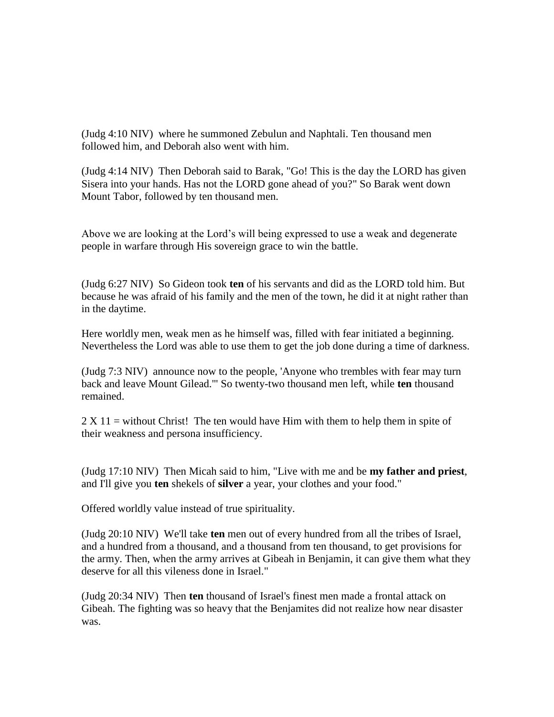(Judg 4:10 NIV) where he summoned Zebulun and Naphtali. Ten thousand men followed him, and Deborah also went with him.

(Judg 4:14 NIV) Then Deborah said to Barak, "Go! This is the day the LORD has given Sisera into your hands. Has not the LORD gone ahead of you?" So Barak went down Mount Tabor, followed by ten thousand men.

Above we are looking at the Lord's will being expressed to use a weak and degenerate people in warfare through His sovereign grace to win the battle.

(Judg 6:27 NIV) So Gideon took **ten** of his servants and did as the LORD told him. But because he was afraid of his family and the men of the town, he did it at night rather than in the daytime.

Here worldly men, weak men as he himself was, filled with fear initiated a beginning. Nevertheless the Lord was able to use them to get the job done during a time of darkness.

(Judg 7:3 NIV) announce now to the people, 'Anyone who trembles with fear may turn back and leave Mount Gilead.'" So twenty-two thousand men left, while **ten** thousand remained.

 $2 X 11 =$  without Christ! The ten would have Him with them to help them in spite of their weakness and persona insufficiency.

(Judg 17:10 NIV) Then Micah said to him, "Live with me and be **my father and priest**, and I'll give you **ten** shekels of **silver** a year, your clothes and your food."

Offered worldly value instead of true spirituality.

(Judg 20:10 NIV) We'll take **ten** men out of every hundred from all the tribes of Israel, and a hundred from a thousand, and a thousand from ten thousand, to get provisions for the army. Then, when the army arrives at Gibeah in Benjamin, it can give them what they deserve for all this vileness done in Israel."

(Judg 20:34 NIV) Then **ten** thousand of Israel's finest men made a frontal attack on Gibeah. The fighting was so heavy that the Benjamites did not realize how near disaster was.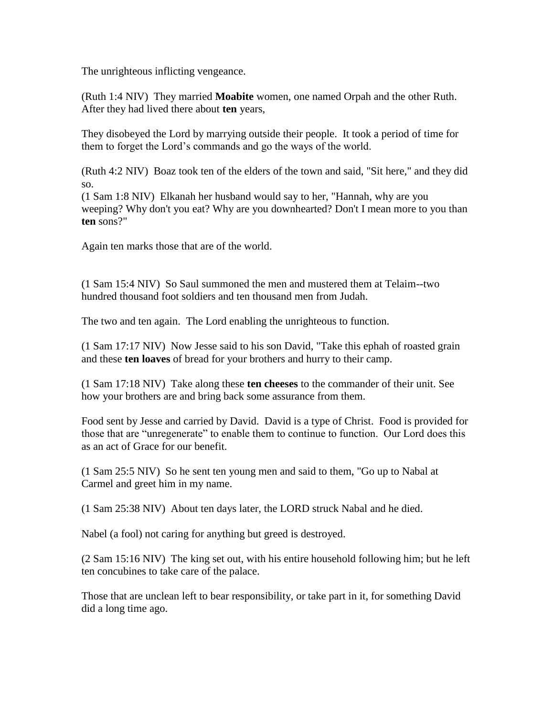The unrighteous inflicting vengeance.

(Ruth 1:4 NIV) They married **Moabite** women, one named Orpah and the other Ruth. After they had lived there about **ten** years,

They disobeyed the Lord by marrying outside their people. It took a period of time for them to forget the Lord's commands and go the ways of the world.

(Ruth 4:2 NIV) Boaz took ten of the elders of the town and said, "Sit here," and they did so.

(1 Sam 1:8 NIV) Elkanah her husband would say to her, "Hannah, why are you weeping? Why don't you eat? Why are you downhearted? Don't I mean more to you than **ten** sons?"

Again ten marks those that are of the world.

(1 Sam 15:4 NIV) So Saul summoned the men and mustered them at Telaim--two hundred thousand foot soldiers and ten thousand men from Judah.

The two and ten again. The Lord enabling the unrighteous to function.

(1 Sam 17:17 NIV) Now Jesse said to his son David, "Take this ephah of roasted grain and these **ten loaves** of bread for your brothers and hurry to their camp.

(1 Sam 17:18 NIV) Take along these **ten cheeses** to the commander of their unit. See how your brothers are and bring back some assurance from them.

Food sent by Jesse and carried by David. David is a type of Christ. Food is provided for those that are "unregenerate" to enable them to continue to function. Our Lord does this as an act of Grace for our benefit.

(1 Sam 25:5 NIV) So he sent ten young men and said to them, "Go up to Nabal at Carmel and greet him in my name.

(1 Sam 25:38 NIV) About ten days later, the LORD struck Nabal and he died.

Nabel (a fool) not caring for anything but greed is destroyed.

(2 Sam 15:16 NIV) The king set out, with his entire household following him; but he left ten concubines to take care of the palace.

Those that are unclean left to bear responsibility, or take part in it, for something David did a long time ago.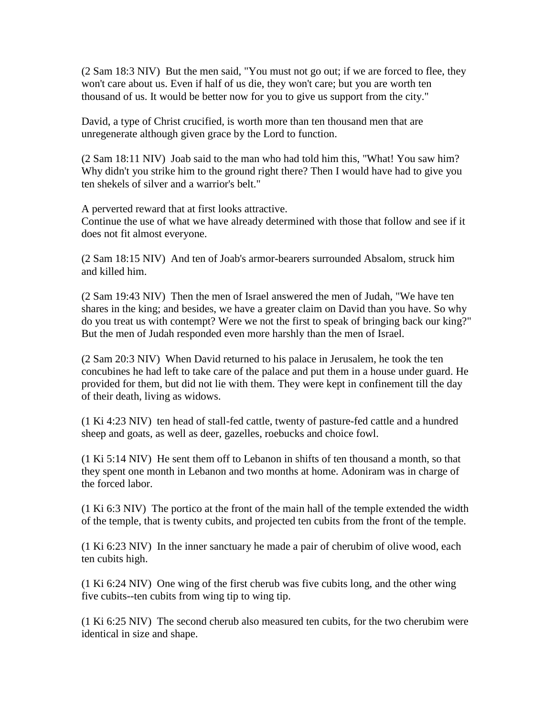(2 Sam 18:3 NIV) But the men said, "You must not go out; if we are forced to flee, they won't care about us. Even if half of us die, they won't care; but you are worth ten thousand of us. It would be better now for you to give us support from the city."

David, a type of Christ crucified, is worth more than ten thousand men that are unregenerate although given grace by the Lord to function.

(2 Sam 18:11 NIV) Joab said to the man who had told him this, "What! You saw him? Why didn't you strike him to the ground right there? Then I would have had to give you ten shekels of silver and a warrior's belt."

A perverted reward that at first looks attractive. Continue the use of what we have already determined with those that follow and see if it does not fit almost everyone.

(2 Sam 18:15 NIV) And ten of Joab's armor-bearers surrounded Absalom, struck him and killed him.

(2 Sam 19:43 NIV) Then the men of Israel answered the men of Judah, "We have ten shares in the king; and besides, we have a greater claim on David than you have. So why do you treat us with contempt? Were we not the first to speak of bringing back our king?" But the men of Judah responded even more harshly than the men of Israel.

(2 Sam 20:3 NIV) When David returned to his palace in Jerusalem, he took the ten concubines he had left to take care of the palace and put them in a house under guard. He provided for them, but did not lie with them. They were kept in confinement till the day of their death, living as widows.

(1 Ki 4:23 NIV) ten head of stall-fed cattle, twenty of pasture-fed cattle and a hundred sheep and goats, as well as deer, gazelles, roebucks and choice fowl.

(1 Ki 5:14 NIV) He sent them off to Lebanon in shifts of ten thousand a month, so that they spent one month in Lebanon and two months at home. Adoniram was in charge of the forced labor.

(1 Ki 6:3 NIV) The portico at the front of the main hall of the temple extended the width of the temple, that is twenty cubits, and projected ten cubits from the front of the temple.

(1 Ki 6:23 NIV) In the inner sanctuary he made a pair of cherubim of olive wood, each ten cubits high.

(1 Ki 6:24 NIV) One wing of the first cherub was five cubits long, and the other wing five cubits--ten cubits from wing tip to wing tip.

(1 Ki 6:25 NIV) The second cherub also measured ten cubits, for the two cherubim were identical in size and shape.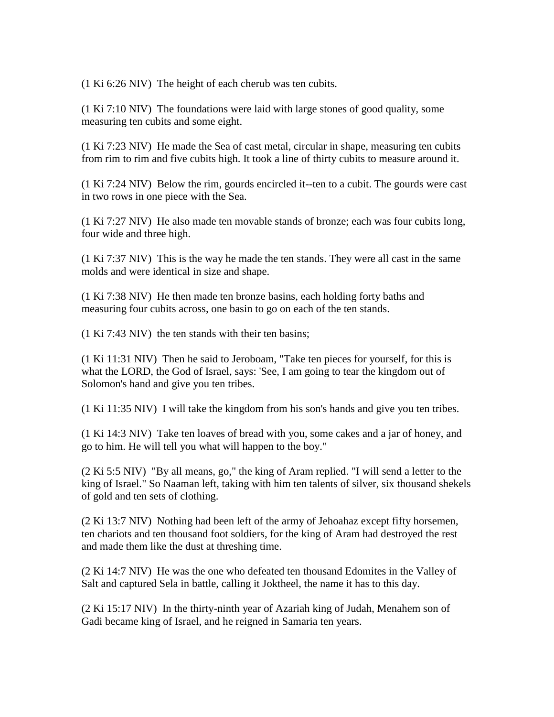(1 Ki 6:26 NIV) The height of each cherub was ten cubits.

(1 Ki 7:10 NIV) The foundations were laid with large stones of good quality, some measuring ten cubits and some eight.

(1 Ki 7:23 NIV) He made the Sea of cast metal, circular in shape, measuring ten cubits from rim to rim and five cubits high. It took a line of thirty cubits to measure around it.

(1 Ki 7:24 NIV) Below the rim, gourds encircled it--ten to a cubit. The gourds were cast in two rows in one piece with the Sea.

(1 Ki 7:27 NIV) He also made ten movable stands of bronze; each was four cubits long, four wide and three high.

(1 Ki 7:37 NIV) This is the way he made the ten stands. They were all cast in the same molds and were identical in size and shape.

(1 Ki 7:38 NIV) He then made ten bronze basins, each holding forty baths and measuring four cubits across, one basin to go on each of the ten stands.

(1 Ki 7:43 NIV) the ten stands with their ten basins;

(1 Ki 11:31 NIV) Then he said to Jeroboam, "Take ten pieces for yourself, for this is what the LORD, the God of Israel, says: 'See, I am going to tear the kingdom out of Solomon's hand and give you ten tribes.

(1 Ki 11:35 NIV) I will take the kingdom from his son's hands and give you ten tribes.

(1 Ki 14:3 NIV) Take ten loaves of bread with you, some cakes and a jar of honey, and go to him. He will tell you what will happen to the boy."

(2 Ki 5:5 NIV) "By all means, go," the king of Aram replied. "I will send a letter to the king of Israel." So Naaman left, taking with him ten talents of silver, six thousand shekels of gold and ten sets of clothing.

(2 Ki 13:7 NIV) Nothing had been left of the army of Jehoahaz except fifty horsemen, ten chariots and ten thousand foot soldiers, for the king of Aram had destroyed the rest and made them like the dust at threshing time.

(2 Ki 14:7 NIV) He was the one who defeated ten thousand Edomites in the Valley of Salt and captured Sela in battle, calling it Joktheel, the name it has to this day.

(2 Ki 15:17 NIV) In the thirty-ninth year of Azariah king of Judah, Menahem son of Gadi became king of Israel, and he reigned in Samaria ten years.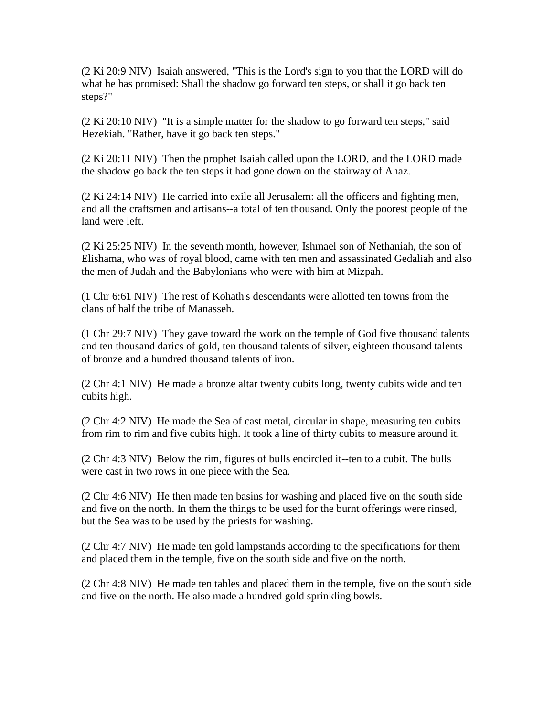(2 Ki 20:9 NIV) Isaiah answered, "This is the Lord's sign to you that the LORD will do what he has promised: Shall the shadow go forward ten steps, or shall it go back ten steps?"

(2 Ki 20:10 NIV) "It is a simple matter for the shadow to go forward ten steps," said Hezekiah. "Rather, have it go back ten steps."

(2 Ki 20:11 NIV) Then the prophet Isaiah called upon the LORD, and the LORD made the shadow go back the ten steps it had gone down on the stairway of Ahaz.

(2 Ki 24:14 NIV) He carried into exile all Jerusalem: all the officers and fighting men, and all the craftsmen and artisans--a total of ten thousand. Only the poorest people of the land were left.

(2 Ki 25:25 NIV) In the seventh month, however, Ishmael son of Nethaniah, the son of Elishama, who was of royal blood, came with ten men and assassinated Gedaliah and also the men of Judah and the Babylonians who were with him at Mizpah.

(1 Chr 6:61 NIV) The rest of Kohath's descendants were allotted ten towns from the clans of half the tribe of Manasseh.

(1 Chr 29:7 NIV) They gave toward the work on the temple of God five thousand talents and ten thousand darics of gold, ten thousand talents of silver, eighteen thousand talents of bronze and a hundred thousand talents of iron.

(2 Chr 4:1 NIV) He made a bronze altar twenty cubits long, twenty cubits wide and ten cubits high.

(2 Chr 4:2 NIV) He made the Sea of cast metal, circular in shape, measuring ten cubits from rim to rim and five cubits high. It took a line of thirty cubits to measure around it.

(2 Chr 4:3 NIV) Below the rim, figures of bulls encircled it--ten to a cubit. The bulls were cast in two rows in one piece with the Sea.

(2 Chr 4:6 NIV) He then made ten basins for washing and placed five on the south side and five on the north. In them the things to be used for the burnt offerings were rinsed, but the Sea was to be used by the priests for washing.

(2 Chr 4:7 NIV) He made ten gold lampstands according to the specifications for them and placed them in the temple, five on the south side and five on the north.

(2 Chr 4:8 NIV) He made ten tables and placed them in the temple, five on the south side and five on the north. He also made a hundred gold sprinkling bowls.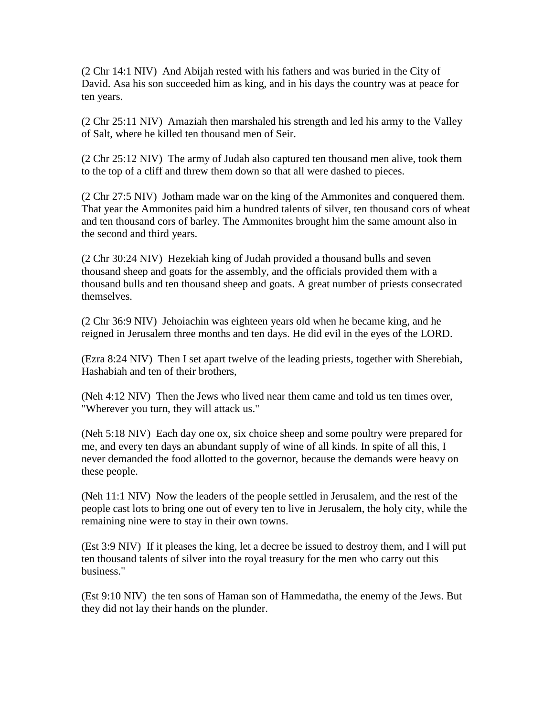(2 Chr 14:1 NIV) And Abijah rested with his fathers and was buried in the City of David. Asa his son succeeded him as king, and in his days the country was at peace for ten years.

(2 Chr 25:11 NIV) Amaziah then marshaled his strength and led his army to the Valley of Salt, where he killed ten thousand men of Seir.

(2 Chr 25:12 NIV) The army of Judah also captured ten thousand men alive, took them to the top of a cliff and threw them down so that all were dashed to pieces.

(2 Chr 27:5 NIV) Jotham made war on the king of the Ammonites and conquered them. That year the Ammonites paid him a hundred talents of silver, ten thousand cors of wheat and ten thousand cors of barley. The Ammonites brought him the same amount also in the second and third years.

(2 Chr 30:24 NIV) Hezekiah king of Judah provided a thousand bulls and seven thousand sheep and goats for the assembly, and the officials provided them with a thousand bulls and ten thousand sheep and goats. A great number of priests consecrated themselves.

(2 Chr 36:9 NIV) Jehoiachin was eighteen years old when he became king, and he reigned in Jerusalem three months and ten days. He did evil in the eyes of the LORD.

(Ezra 8:24 NIV) Then I set apart twelve of the leading priests, together with Sherebiah, Hashabiah and ten of their brothers,

(Neh 4:12 NIV) Then the Jews who lived near them came and told us ten times over, "Wherever you turn, they will attack us."

(Neh 5:18 NIV) Each day one ox, six choice sheep and some poultry were prepared for me, and every ten days an abundant supply of wine of all kinds. In spite of all this, I never demanded the food allotted to the governor, because the demands were heavy on these people.

(Neh 11:1 NIV) Now the leaders of the people settled in Jerusalem, and the rest of the people cast lots to bring one out of every ten to live in Jerusalem, the holy city, while the remaining nine were to stay in their own towns.

(Est 3:9 NIV) If it pleases the king, let a decree be issued to destroy them, and I will put ten thousand talents of silver into the royal treasury for the men who carry out this business."

(Est 9:10 NIV) the ten sons of Haman son of Hammedatha, the enemy of the Jews. But they did not lay their hands on the plunder.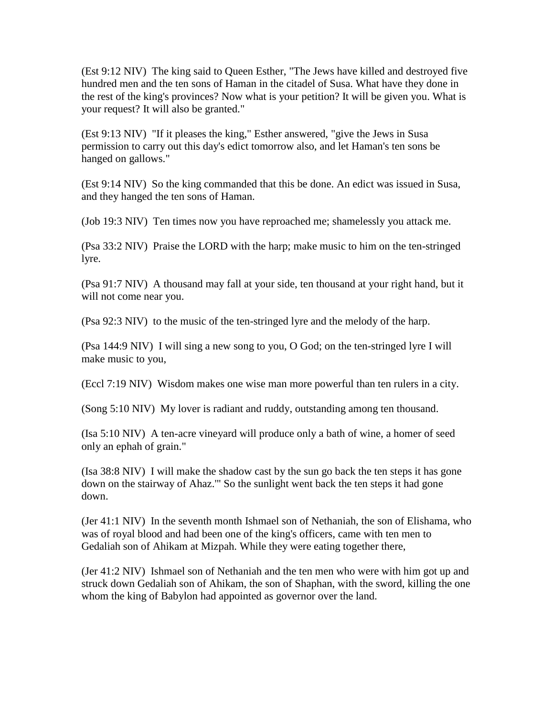(Est 9:12 NIV) The king said to Queen Esther, "The Jews have killed and destroyed five hundred men and the ten sons of Haman in the citadel of Susa. What have they done in the rest of the king's provinces? Now what is your petition? It will be given you. What is your request? It will also be granted."

(Est 9:13 NIV) "If it pleases the king," Esther answered, "give the Jews in Susa permission to carry out this day's edict tomorrow also, and let Haman's ten sons be hanged on gallows."

(Est 9:14 NIV) So the king commanded that this be done. An edict was issued in Susa, and they hanged the ten sons of Haman.

(Job 19:3 NIV) Ten times now you have reproached me; shamelessly you attack me.

(Psa 33:2 NIV) Praise the LORD with the harp; make music to him on the ten-stringed lyre.

(Psa 91:7 NIV) A thousand may fall at your side, ten thousand at your right hand, but it will not come near you.

(Psa 92:3 NIV) to the music of the ten-stringed lyre and the melody of the harp.

(Psa 144:9 NIV) I will sing a new song to you, O God; on the ten-stringed lyre I will make music to you,

(Eccl 7:19 NIV) Wisdom makes one wise man more powerful than ten rulers in a city.

(Song 5:10 NIV) My lover is radiant and ruddy, outstanding among ten thousand.

(Isa 5:10 NIV) A ten-acre vineyard will produce only a bath of wine, a homer of seed only an ephah of grain."

(Isa 38:8 NIV) I will make the shadow cast by the sun go back the ten steps it has gone down on the stairway of Ahaz.'" So the sunlight went back the ten steps it had gone down.

(Jer 41:1 NIV) In the seventh month Ishmael son of Nethaniah, the son of Elishama, who was of royal blood and had been one of the king's officers, came with ten men to Gedaliah son of Ahikam at Mizpah. While they were eating together there,

(Jer 41:2 NIV) Ishmael son of Nethaniah and the ten men who were with him got up and struck down Gedaliah son of Ahikam, the son of Shaphan, with the sword, killing the one whom the king of Babylon had appointed as governor over the land.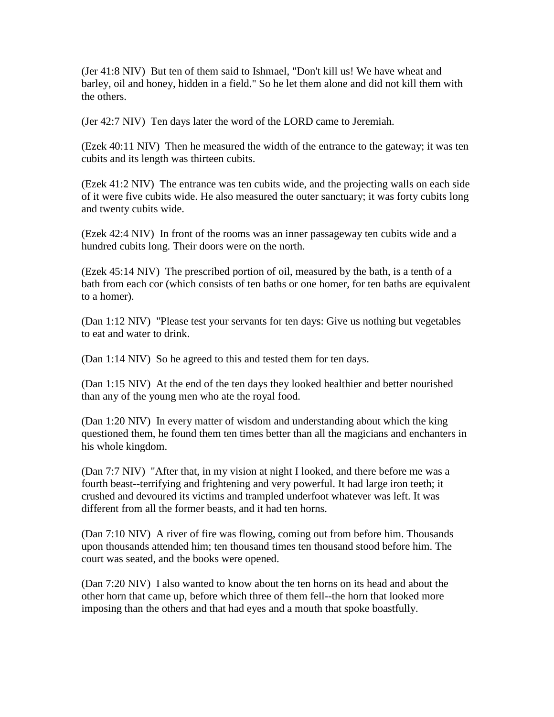(Jer 41:8 NIV) But ten of them said to Ishmael, "Don't kill us! We have wheat and barley, oil and honey, hidden in a field." So he let them alone and did not kill them with the others.

(Jer 42:7 NIV) Ten days later the word of the LORD came to Jeremiah.

(Ezek 40:11 NIV) Then he measured the width of the entrance to the gateway; it was ten cubits and its length was thirteen cubits.

(Ezek 41:2 NIV) The entrance was ten cubits wide, and the projecting walls on each side of it were five cubits wide. He also measured the outer sanctuary; it was forty cubits long and twenty cubits wide.

(Ezek 42:4 NIV) In front of the rooms was an inner passageway ten cubits wide and a hundred cubits long. Their doors were on the north.

(Ezek 45:14 NIV) The prescribed portion of oil, measured by the bath, is a tenth of a bath from each cor (which consists of ten baths or one homer, for ten baths are equivalent to a homer).

(Dan 1:12 NIV) "Please test your servants for ten days: Give us nothing but vegetables to eat and water to drink.

(Dan 1:14 NIV) So he agreed to this and tested them for ten days.

(Dan 1:15 NIV) At the end of the ten days they looked healthier and better nourished than any of the young men who ate the royal food.

(Dan 1:20 NIV) In every matter of wisdom and understanding about which the king questioned them, he found them ten times better than all the magicians and enchanters in his whole kingdom.

(Dan 7:7 NIV) "After that, in my vision at night I looked, and there before me was a fourth beast--terrifying and frightening and very powerful. It had large iron teeth; it crushed and devoured its victims and trampled underfoot whatever was left. It was different from all the former beasts, and it had ten horns.

(Dan 7:10 NIV) A river of fire was flowing, coming out from before him. Thousands upon thousands attended him; ten thousand times ten thousand stood before him. The court was seated, and the books were opened.

(Dan 7:20 NIV) I also wanted to know about the ten horns on its head and about the other horn that came up, before which three of them fell--the horn that looked more imposing than the others and that had eyes and a mouth that spoke boastfully.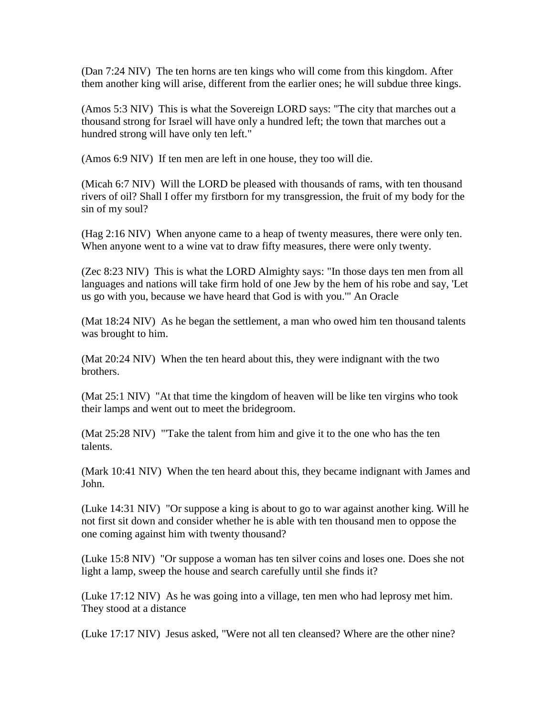(Dan 7:24 NIV) The ten horns are ten kings who will come from this kingdom. After them another king will arise, different from the earlier ones; he will subdue three kings.

(Amos 5:3 NIV) This is what the Sovereign LORD says: "The city that marches out a thousand strong for Israel will have only a hundred left; the town that marches out a hundred strong will have only ten left."

(Amos 6:9 NIV) If ten men are left in one house, they too will die.

(Micah 6:7 NIV) Will the LORD be pleased with thousands of rams, with ten thousand rivers of oil? Shall I offer my firstborn for my transgression, the fruit of my body for the sin of my soul?

(Hag 2:16 NIV) When anyone came to a heap of twenty measures, there were only ten. When anyone went to a wine vat to draw fifty measures, there were only twenty.

(Zec 8:23 NIV) This is what the LORD Almighty says: "In those days ten men from all languages and nations will take firm hold of one Jew by the hem of his robe and say, 'Let us go with you, because we have heard that God is with you.'" An Oracle

(Mat 18:24 NIV) As he began the settlement, a man who owed him ten thousand talents was brought to him.

(Mat 20:24 NIV) When the ten heard about this, they were indignant with the two brothers.

(Mat 25:1 NIV) "At that time the kingdom of heaven will be like ten virgins who took their lamps and went out to meet the bridegroom.

(Mat 25:28 NIV) "'Take the talent from him and give it to the one who has the ten talents.

(Mark 10:41 NIV) When the ten heard about this, they became indignant with James and John.

(Luke 14:31 NIV) "Or suppose a king is about to go to war against another king. Will he not first sit down and consider whether he is able with ten thousand men to oppose the one coming against him with twenty thousand?

(Luke 15:8 NIV) "Or suppose a woman has ten silver coins and loses one. Does she not light a lamp, sweep the house and search carefully until she finds it?

(Luke 17:12 NIV) As he was going into a village, ten men who had leprosy met him. They stood at a distance

(Luke 17:17 NIV) Jesus asked, "Were not all ten cleansed? Where are the other nine?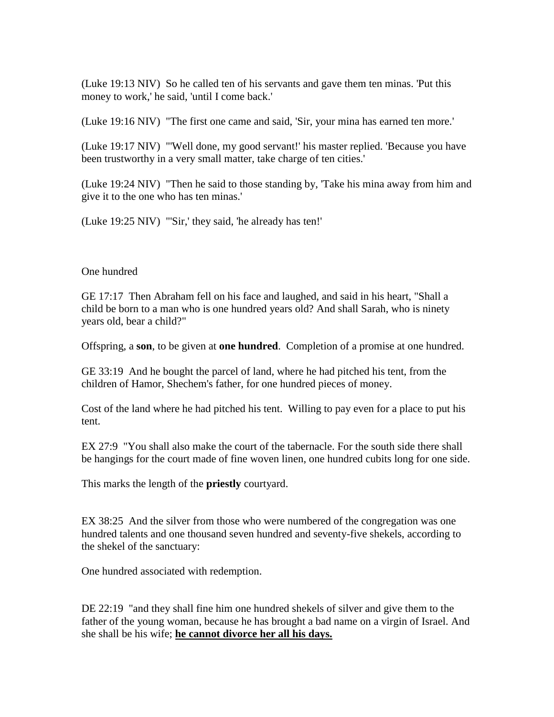(Luke 19:13 NIV) So he called ten of his servants and gave them ten minas. 'Put this money to work,' he said, 'until I come back.'

(Luke 19:16 NIV) "The first one came and said, 'Sir, your mina has earned ten more.'

(Luke 19:17 NIV) "'Well done, my good servant!' his master replied. 'Because you have been trustworthy in a very small matter, take charge of ten cities.'

(Luke 19:24 NIV) "Then he said to those standing by, 'Take his mina away from him and give it to the one who has ten minas.'

(Luke 19:25 NIV) "'Sir,' they said, 'he already has ten!'

One hundred

GE 17:17 Then Abraham fell on his face and laughed, and said in his heart, "Shall a child be born to a man who is one hundred years old? And shall Sarah, who is ninety years old, bear a child?"

Offspring, a **son**, to be given at **one hundred**. Completion of a promise at one hundred.

GE 33:19 And he bought the parcel of land, where he had pitched his tent, from the children of Hamor, Shechem's father, for one hundred pieces of money.

Cost of the land where he had pitched his tent. Willing to pay even for a place to put his tent.

EX 27:9 "You shall also make the court of the tabernacle. For the south side there shall be hangings for the court made of fine woven linen, one hundred cubits long for one side.

This marks the length of the **priestly** courtyard.

EX 38:25 And the silver from those who were numbered of the congregation was one hundred talents and one thousand seven hundred and seventy-five shekels, according to the shekel of the sanctuary:

One hundred associated with redemption.

DE 22:19 "and they shall fine him one hundred shekels of silver and give them to the father of the young woman, because he has brought a bad name on a virgin of Israel. And she shall be his wife; **he cannot divorce her all his days.**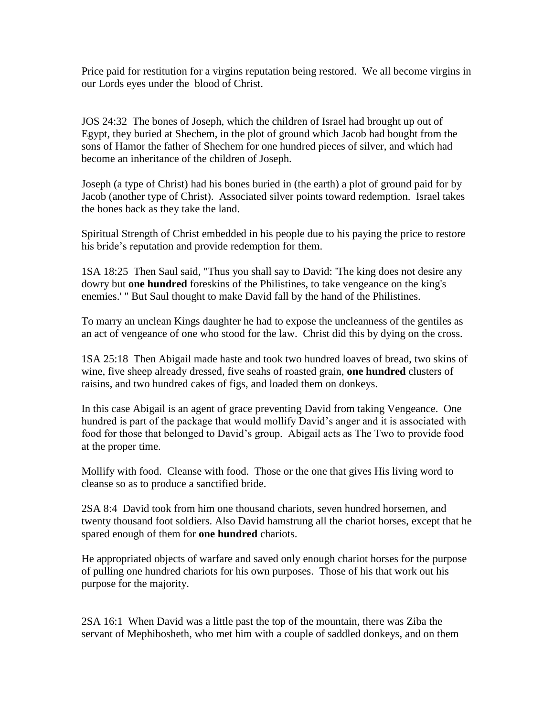Price paid for restitution for a virgins reputation being restored. We all become virgins in our Lords eyes under the blood of Christ.

JOS 24:32 The bones of Joseph, which the children of Israel had brought up out of Egypt, they buried at Shechem, in the plot of ground which Jacob had bought from the sons of Hamor the father of Shechem for one hundred pieces of silver, and which had become an inheritance of the children of Joseph.

Joseph (a type of Christ) had his bones buried in (the earth) a plot of ground paid for by Jacob (another type of Christ). Associated silver points toward redemption. Israel takes the bones back as they take the land.

Spiritual Strength of Christ embedded in his people due to his paying the price to restore his bride's reputation and provide redemption for them.

1SA 18:25 Then Saul said, "Thus you shall say to David: 'The king does not desire any dowry but **one hundred** foreskins of the Philistines, to take vengeance on the king's enemies.' " But Saul thought to make David fall by the hand of the Philistines.

To marry an unclean Kings daughter he had to expose the uncleanness of the gentiles as an act of vengeance of one who stood for the law. Christ did this by dying on the cross.

1SA 25:18 Then Abigail made haste and took two hundred loaves of bread, two skins of wine, five sheep already dressed, five seahs of roasted grain, **one hundred** clusters of raisins, and two hundred cakes of figs, and loaded them on donkeys.

In this case Abigail is an agent of grace preventing David from taking Vengeance. One hundred is part of the package that would mollify David's anger and it is associated with food for those that belonged to David's group. Abigail acts as The Two to provide food at the proper time.

Mollify with food. Cleanse with food. Those or the one that gives His living word to cleanse so as to produce a sanctified bride.

2SA 8:4 David took from him one thousand chariots, seven hundred horsemen, and twenty thousand foot soldiers. Also David hamstrung all the chariot horses, except that he spared enough of them for **one hundred** chariots.

He appropriated objects of warfare and saved only enough chariot horses for the purpose of pulling one hundred chariots for his own purposes. Those of his that work out his purpose for the majority.

2SA 16:1 When David was a little past the top of the mountain, there was Ziba the servant of Mephibosheth, who met him with a couple of saddled donkeys, and on them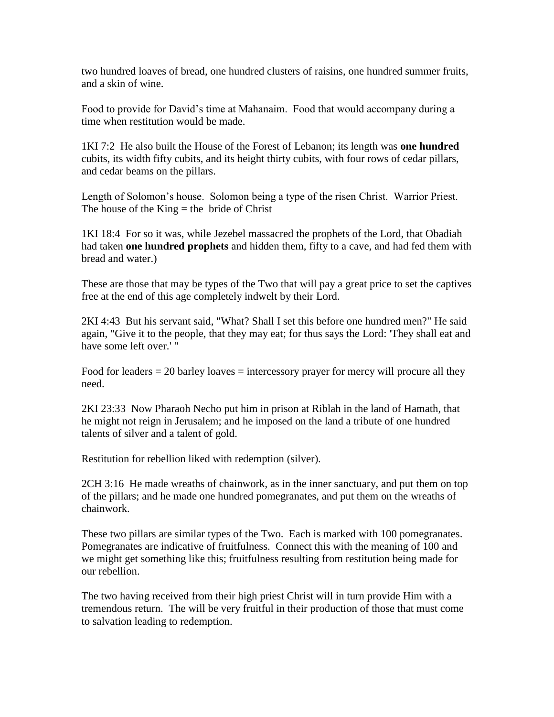two hundred loaves of bread, one hundred clusters of raisins, one hundred summer fruits, and a skin of wine.

Food to provide for David's time at Mahanaim. Food that would accompany during a time when restitution would be made.

1KI 7:2 He also built the House of the Forest of Lebanon; its length was **one hundred** cubits, its width fifty cubits, and its height thirty cubits, with four rows of cedar pillars, and cedar beams on the pillars.

Length of Solomon's house. Solomon being a type of the risen Christ. Warrior Priest. The house of the King  $=$  the bride of Christ

1KI 18:4 For so it was, while Jezebel massacred the prophets of the Lord, that Obadiah had taken **one hundred prophets** and hidden them, fifty to a cave, and had fed them with bread and water.)

These are those that may be types of the Two that will pay a great price to set the captives free at the end of this age completely indwelt by their Lord.

2KI 4:43 But his servant said, "What? Shall I set this before one hundred men?" He said again, "Give it to the people, that they may eat; for thus says the Lord: 'They shall eat and have some left over.' "

Food for leaders  $= 20$  barley loaves  $=$  intercessory prayer for mercy will procure all they need.

2KI 23:33 Now Pharaoh Necho put him in prison at Riblah in the land of Hamath, that he might not reign in Jerusalem; and he imposed on the land a tribute of one hundred talents of silver and a talent of gold.

Restitution for rebellion liked with redemption (silver).

2CH 3:16 He made wreaths of chainwork, as in the inner sanctuary, and put them on top of the pillars; and he made one hundred pomegranates, and put them on the wreaths of chainwork.

These two pillars are similar types of the Two. Each is marked with 100 pomegranates. Pomegranates are indicative of fruitfulness. Connect this with the meaning of 100 and we might get something like this; fruitfulness resulting from restitution being made for our rebellion.

The two having received from their high priest Christ will in turn provide Him with a tremendous return. The will be very fruitful in their production of those that must come to salvation leading to redemption.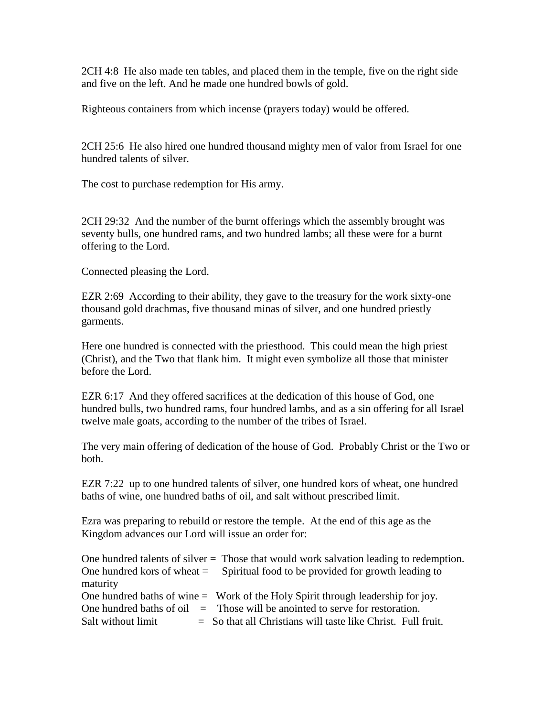2CH 4:8 He also made ten tables, and placed them in the temple, five on the right side and five on the left. And he made one hundred bowls of gold.

Righteous containers from which incense (prayers today) would be offered.

2CH 25:6 He also hired one hundred thousand mighty men of valor from Israel for one hundred talents of silver.

The cost to purchase redemption for His army.

2CH 29:32 And the number of the burnt offerings which the assembly brought was seventy bulls, one hundred rams, and two hundred lambs; all these were for a burnt offering to the Lord.

Connected pleasing the Lord.

EZR 2:69 According to their ability, they gave to the treasury for the work sixty-one thousand gold drachmas, five thousand minas of silver, and one hundred priestly garments.

Here one hundred is connected with the priesthood. This could mean the high priest (Christ), and the Two that flank him. It might even symbolize all those that minister before the Lord.

EZR 6:17 And they offered sacrifices at the dedication of this house of God, one hundred bulls, two hundred rams, four hundred lambs, and as a sin offering for all Israel twelve male goats, according to the number of the tribes of Israel.

The very main offering of dedication of the house of God. Probably Christ or the Two or both.

EZR 7:22 up to one hundred talents of silver, one hundred kors of wheat, one hundred baths of wine, one hundred baths of oil, and salt without prescribed limit.

Ezra was preparing to rebuild or restore the temple. At the end of this age as the Kingdom advances our Lord will issue an order for:

|                    | One hundred talents of silver = Those that would work salvation leading to redemption. |
|--------------------|----------------------------------------------------------------------------------------|
|                    | One hundred kors of wheat $=$ Spiritual food to be provided for growth leading to      |
| maturity           |                                                                                        |
|                    | One hundred baths of wine $=$ Work of the Holy Spirit through leadership for joy.      |
|                    | One hundred baths of oil $=$ Those will be anointed to serve for restoration.          |
| Salt without limit | $=$ So that all Christians will taste like Christ. Full fruit.                         |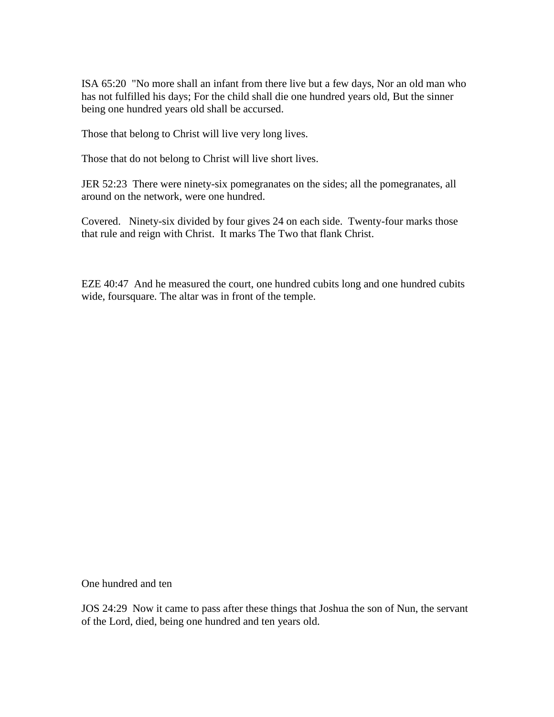ISA 65:20 "No more shall an infant from there live but a few days, Nor an old man who has not fulfilled his days; For the child shall die one hundred years old, But the sinner being one hundred years old shall be accursed.

Those that belong to Christ will live very long lives.

Those that do not belong to Christ will live short lives.

JER 52:23 There were ninety-six pomegranates on the sides; all the pomegranates, all around on the network, were one hundred.

Covered. Ninety-six divided by four gives 24 on each side. Twenty-four marks those that rule and reign with Christ. It marks The Two that flank Christ.

EZE 40:47 And he measured the court, one hundred cubits long and one hundred cubits wide, foursquare. The altar was in front of the temple.

One hundred and ten

JOS 24:29 Now it came to pass after these things that Joshua the son of Nun, the servant of the Lord, died, being one hundred and ten years old.